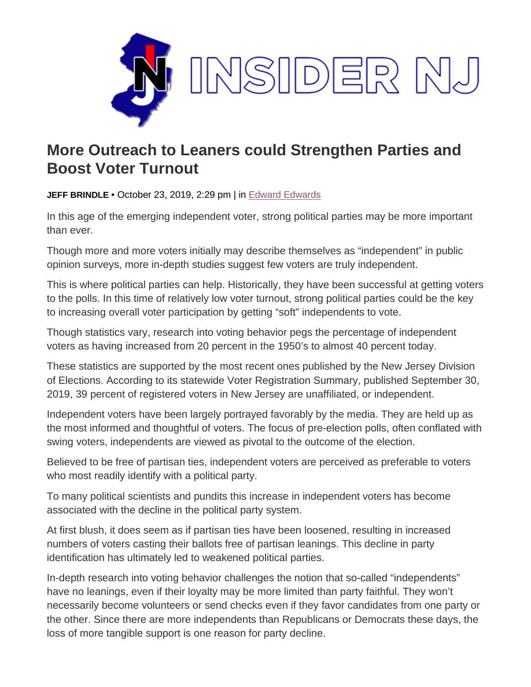

## **More Outreach to Leaners could Strengthen Parties and Boost Voter Turnout**

**JEFF BRINDLE** • October 23, 2019, 2:29 pm | in [Edward Edwards](https://www.insidernj.com/category/edward-edwards/)

In this age of the emerging independent voter, strong political parties may be more important than ever.

Though more and more voters initially may describe themselves as "independent" in public opinion surveys, more in-depth studies suggest few voters are truly independent.

This is where political parties can help. Historically, they have been successful at getting voters to the polls. In this time of relatively low voter turnout, strong political parties could be the key to increasing overall voter participation by getting "soft" independents to vote.

Though statistics vary, research into voting behavior pegs the percentage of independent voters as having increased from 20 percent in the 1950's to almost 40 percent today.

These statistics are supported by the most recent ones published by the New Jersey Division of Elections. According to its statewide Voter Registration Summary, published September 30, 2019, 39 percent of registered voters in New Jersey are unaffiliated, or independent.

Independent voters have been largely portrayed favorably by the media. They are held up as the most informed and thoughtful of voters. The focus of pre-election polls, often conflated with swing voters, independents are viewed as pivotal to the outcome of the election.

Believed to be free of partisan ties, independent voters are perceived as preferable to voters who most readily identify with a political party.

To many political scientists and pundits this increase in independent voters has become associated with the decline in the political party system.

At first blush, it does seem as if partisan ties have been loosened, resulting in increased numbers of voters casting their ballots free of partisan leanings. This decline in party identification has ultimately led to weakened political parties.

In-depth research into voting behavior challenges the notion that so-called "independents" have no leanings, even if their loyalty may be more limited than party faithful. They won't necessarily become volunteers or send checks even if they favor candidates from one party or the other. Since there are more independents than Republicans or Democrats these days, the loss of more tangible support is one reason for party decline.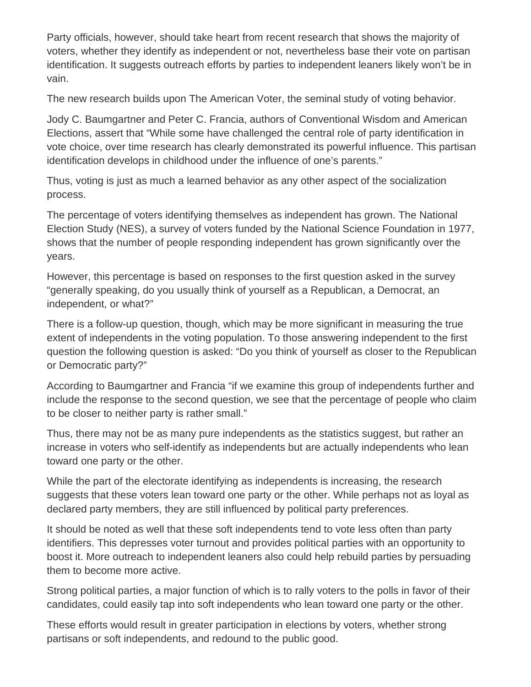Party officials, however, should take heart from recent research that shows the majority of voters, whether they identify as independent or not, nevertheless base their vote on partisan identification. It suggests outreach efforts by parties to independent leaners likely won't be in vain.

The new research builds upon The American Voter, the seminal study of voting behavior.

Jody C. Baumgartner and Peter C. Francia, authors of Conventional Wisdom and American Elections, assert that "While some have challenged the central role of party identification in vote choice, over time research has clearly demonstrated its powerful influence. This partisan identification develops in childhood under the influence of one's parents."

Thus, voting is just as much a learned behavior as any other aspect of the socialization process.

The percentage of voters identifying themselves as independent has grown. The National Election Study (NES), a survey of voters funded by the National Science Foundation in 1977, shows that the number of people responding independent has grown significantly over the years.

However, this percentage is based on responses to the first question asked in the survey "generally speaking, do you usually think of yourself as a Republican, a Democrat, an independent, or what?"

There is a follow-up question, though, which may be more significant in measuring the true extent of independents in the voting population. To those answering independent to the first question the following question is asked: "Do you think of yourself as closer to the Republican or Democratic party?"

According to Baumgartner and Francia "if we examine this group of independents further and include the response to the second question, we see that the percentage of people who claim to be closer to neither party is rather small."

Thus, there may not be as many pure independents as the statistics suggest, but rather an increase in voters who self-identify as independents but are actually independents who lean toward one party or the other.

While the part of the electorate identifying as independents is increasing, the research suggests that these voters lean toward one party or the other. While perhaps not as loyal as declared party members, they are still influenced by political party preferences.

It should be noted as well that these soft independents tend to vote less often than party identifiers. This depresses voter turnout and provides political parties with an opportunity to boost it. More outreach to independent leaners also could help rebuild parties by persuading them to become more active.

Strong political parties, a major function of which is to rally voters to the polls in favor of their candidates, could easily tap into soft independents who lean toward one party or the other.

These efforts would result in greater participation in elections by voters, whether strong partisans or soft independents, and redound to the public good.